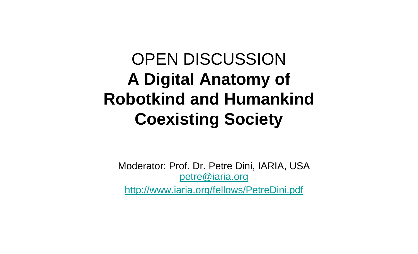# OPEN DISCUSSION **A Digital Anatomy of Robotkind and Humankind Coexisting Society**

Moderator: Prof. Dr. Petre Dini, IARIA, USA petre@iaria.org http://www.iaria.org/fellows/PetreDini.pdf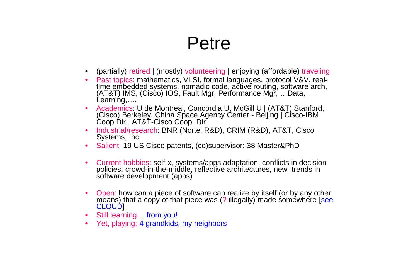#### Petre

- (partially) retired | (mostly) volunteering | enjoying (affordable) traveling
- Past topics: mathematics, VLSI, formal languages, protocol V&V, realtime embedded systems, nomadic code, active routing, software arch, (AT&T) IMS, (Cisco) IOS, Fault Mgr, Performance Mgr, …Data, Learning,….
- Academics: U de Montreal, Concordia U, McGill U | (AT&T) Stanford, (Cisco) Berkeley, China Space Agency Center - Beijing | Cisco-IBM Coop Dir., AT&T-Cisco Coop. Dir.
- Industrial/research: BNR (Nortel R&D), CRIM (R&D), AT&T, Cisco Systems, Inc.
- Salient: 19 US Cisco patents, (co)supervisor: 38 Master&PhD
- Current hobbies: self-x, systems/apps adaptation, conflicts in decision policies, crowd-in-the-middle, reflective architectures, new trends in software development (apps)
- Open: how can a piece of software can realize by itself (or by any other means) that a copy of that piece was (? illegally) made somewhere [see CLOUD]
- Still learning ...from you!
- Yet, playing: 4 grandkids, my neighbors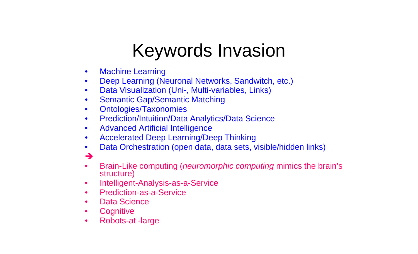# Keywords Invasion

- Machine Learning
- Deep Learning (Neuronal Networks, Sandwitch, etc.)
- Data Visualization (Uni-, Multi-variables, Links)
- Semantic Gap/Semantic Matching
- Ontologies/Taxonomies
- Prediction/Intuition/Data Analytics/Data Science
- Advanced Artificial Intelligence
- Accelerated Deep Learning/Deep Thinking
- Data Orchestration (open data, data sets, visible/hidden links)
- $\rightarrow$
- Brain-Like computing (*neuromorphic computing* mimics the brain's structure)
- Intelligent-Analysis-as-a-Service
- Prediction-as-a-Service
- Data Science
- Cognitive
- Robots-at -large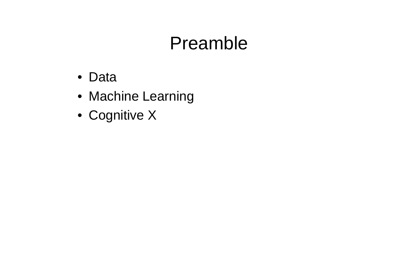# Preamble

- Data
- Machine Learning
- Cognitive X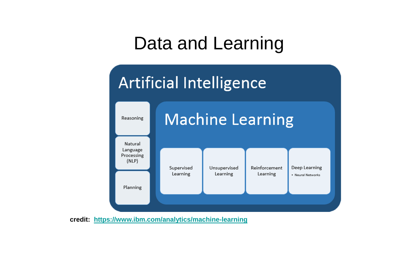## Data and Learning



**credit: https://www.ibm.com/analytics/machine-learning**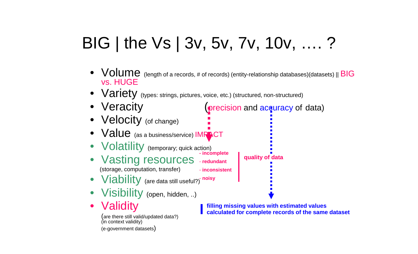# BIG | the Vs | 3v, 5v, 7v, 10v, …. ?

- Volume (length of a records, # of records) (entity-relationship databases)(datasets) || BIG vs. HUGE
- Variety (types: strings, pictures, voice, etc.) (structured, non-structured)
- Veracity (precision and accuracy of data)
- Velocity (of change)
- Value (as a business/service) IMRACT
- **Volatility** (temporary; quick action)
- Vasting resources (storage, computation, transfer) **- incomplete** - **redundant** - **inconsistent**
- Viability (are data still useful?) **noisy**
- Visibility (open, hidden, ..)
- Validity

(are there still valid/updated data?) (in context validity) (e-government datasets)

**filling missing values with estimated values calculated for complete records of the same dataset**

**quality of data**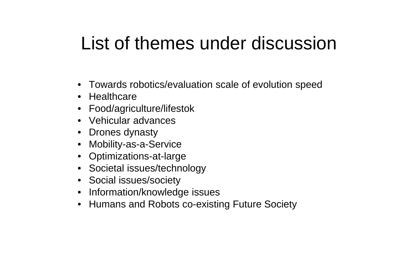# List of themes under discussion

- Towards robotics/evaluation scale of evolution speed
- Healthcare
- Food/agriculture/lifestok
- Vehicular advances
- Drones dynasty
- Mobility-as-a-Service
- Optimizations-at-large
- Societal issues/technology
- Social issues/society
- Information/knowledge issues
- Humans and Robots co-existing Future Society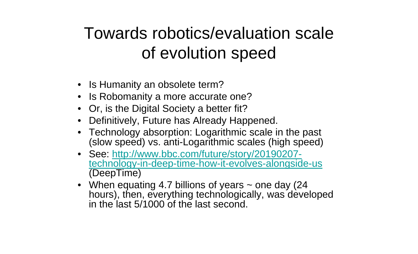#### Towards robotics/evaluation scale of evolution speed

- Is Humanity an obsolete term?
- Is Robomanity a more accurate one?
- Or, is the Digital Society a better fit?
- Definitively, Future has Already Happened.
- Technology absorption: Logarithmic scale in the past (slow speed) vs. anti-Logarithmic scales (high speed)
- See: http://www.bbc.com/future/story/20190207technology-in-deep-time-how-it-evolves-alongside-us (DeepTime)
- When equating 4.7 billions of years  $\sim$  one day (24) hours), then, everything technologically, was developed in the last 5/1000 of the last second.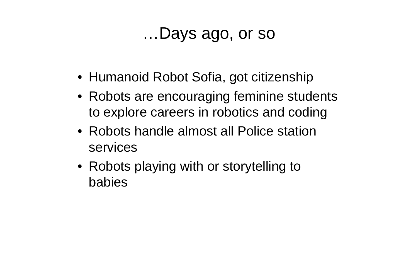#### …Days ago, or so

- Humanoid Robot Sofia, got citizenship
- Robots are encouraging feminine students to explore careers in robotics and coding
- Robots handle almost all Police station services
- Robots playing with or storytelling to babies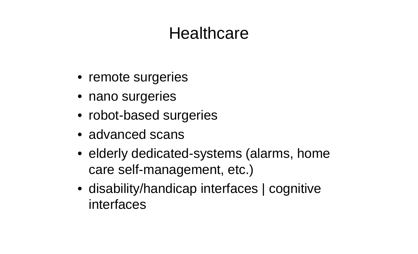#### **Healthcare**

- remote surgeries
- nano surgeries
- robot-based surgeries
- advanced scans
- elderly dedicated-systems (alarms, home care self-management, etc.)
- disability/handicap interfaces | cognitive interfaces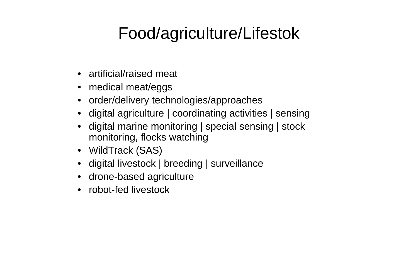#### Food/agriculture/Lifestok

- artificial/raised meat
- medical meat/eggs
- order/delivery technologies/approaches
- digital agriculture | coordinating activities | sensing
- digital marine monitoring | special sensing | stock monitoring, flocks watching
- WildTrack (SAS)
- digital livestock | breeding | surveillance
- drone-based agriculture
- robot-fed livestock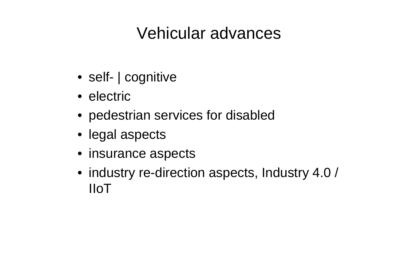#### Vehicular advances

- self- | cognitive
- electric
- pedestrian services for disabled
- legal aspects
- insurance aspects
- industry re-direction aspects, Industry 4.0 / IIoT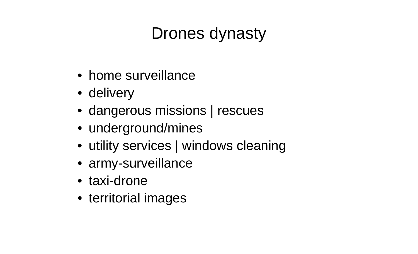### Drones dynasty

- home surveillance
- delivery
- dangerous missions | rescues
- underground/mines
- utility services | windows cleaning
- army-surveillance
- taxi-drone
- territorial images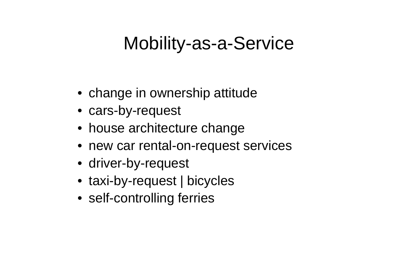# Mobility-as-a-Service

- change in ownership attitude
- cars-by-request
- house architecture change
- new car rental-on-request services
- driver-by-request
- taxi-by-request | bicycles
- self-controlling ferries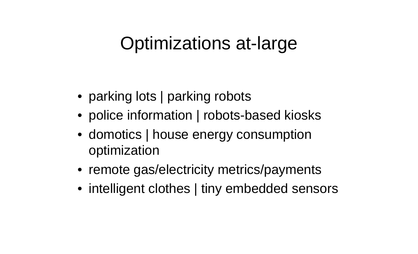# Optimizations at-large

- parking lots | parking robots
- police information | robots-based kiosks
- domotics | house energy consumption optimization
- remote gas/electricity metrics/payments
- intelligent clothes | tiny embedded sensors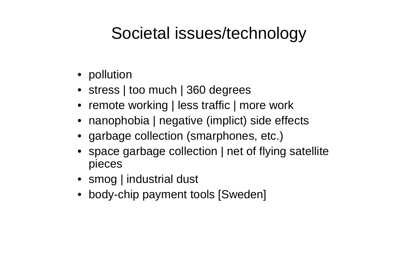#### Societal issues/technology

- pollution
- stress | too much | 360 degrees
- remote working | less traffic | more work
- nanophobia | negative (implict) side effects
- garbage collection (smarphones, etc.)
- space garbage collection | net of flying satellite pieces
- smog | industrial dust
- body-chip payment tools [Sweden]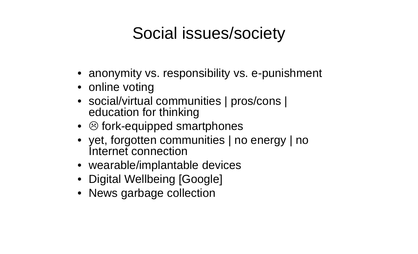#### Social issues/society

- anonymity vs. responsibility vs. e-punishment
- online voting
- social/virtual communities | pros/cons | education for thinking
- $\bullet$   $\odot$  fork-equipped smartphones
- yet, forgotten communities | no energy | no Internet connection
- wearable/implantable devices
- Digital Wellbeing [Google]
- News garbage collection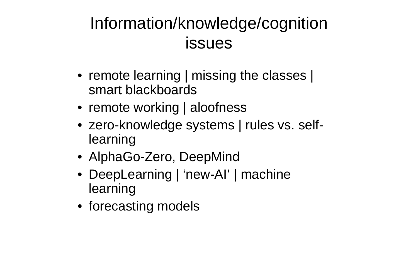### Information/knowledge/cognition issues

- remote learning | missing the classes | smart blackboards
- remote working | aloofness
- zero-knowledge systems | rules vs. selflearning
- AlphaGo-Zero, DeepMind
- DeepLearning | 'new-AI' | machine learning
- forecasting models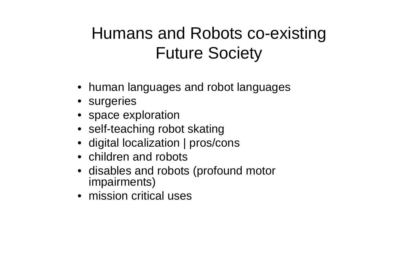### Humans and Robots co-existing Future Society

- human languages and robot languages
- surgeries
- space exploration
- self-teaching robot skating
- digital localization | pros/cons
- children and robots
- disables and robots (profound motor impairments)
- mission critical uses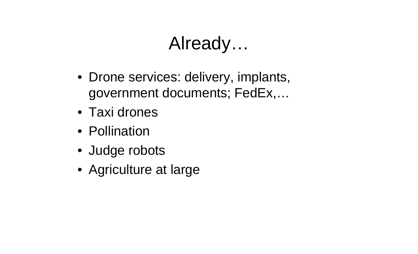# Already…

- Drone services: delivery, implants, government documents; FedEx,…
- Taxi drones
- Pollination
- Judge robots
- Agriculture at large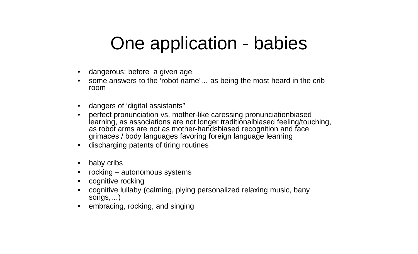# One application - babies

- dangerous: before a given age
- some answers to the 'robot name'… as being the most heard in the crib room
- dangers of 'digital assistants"
- perfect pronunciation vs. mother-like caressing pronunciationbiased learning, as associations are not longer traditionalbiased feeling/touching, as robot arms are not as mother-handsbiased recognition and face grimaces / body languages favoring foreign language learning
- discharging patents of tiring routines
- baby cribs
- rocking  $-$  autonomous systems
- cognitive rocking
- cognitive lullaby (calming, plying personalized relaxing music, bany songs,…)
- embracing, rocking, and singing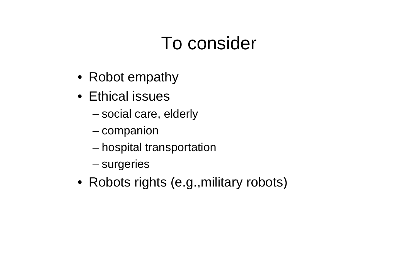# To consider

- Robot empathy
- Ethical issues
	- social care, elderly
	- companion
	- hospital transportation
	- surgeries
- Robots rights (e.g., military robots)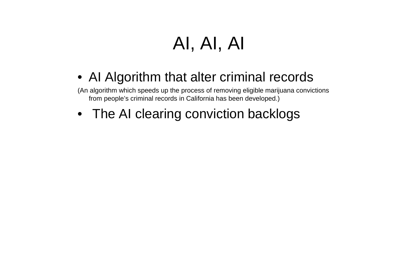# AI, AI, AI

• AI Algorithm that alter criminal records

(An algorithm which speeds up the process of removing eligible marijuana convictions from people's criminal records in California has been developed.)

• The AI clearing conviction backlogs